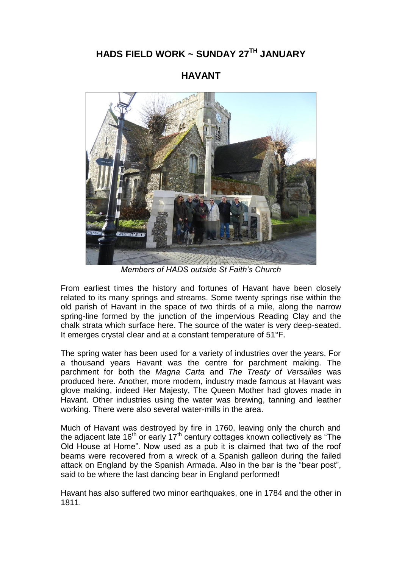## **HADS FIELD WORK ~ SUNDAY 27TH JANUARY**

## **HAVANT**



*Members of HADS outside St Faith's Church*

From earliest times the history and fortunes of Havant have been closely related to its many springs and streams. Some twenty springs rise within the old parish of Havant in the space of two thirds of a mile, along the narrow spring-line formed by the junction of the impervious Reading Clay and the chalk strata which surface here. The source of the water is very deep-seated. It emerges crystal clear and at a constant temperature of 51°F.

The spring water has been used for a variety of industries over the years. For a thousand years Havant was the centre for parchment making. The parchment for both the *Magna Carta* and *The Treaty of Versailles* was produced here. Another, more modern, industry made famous at Havant was glove making, indeed Her Majesty, The Queen Mother had gloves made in Havant. Other industries using the water was brewing, tanning and leather working. There were also several water-mills in the area.

Much of Havant was destroyed by fire in 1760, leaving only the church and the adjacent late  $16<sup>th</sup>$  or early  $17<sup>th</sup>$  century cottages known collectively as "The Old House at Home". Now used as a pub it is claimed that two of the roof beams were recovered from a wreck of a Spanish galleon during the failed attack on England by the Spanish Armada. Also in the bar is the "bear post", said to be where the last dancing bear in England performed!

Havant has also suffered two minor earthquakes, one in 1784 and the other in 1811.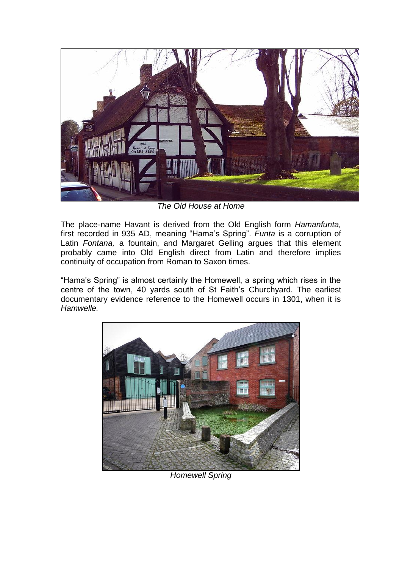

*The Old House at Home*

The place-name Havant is derived from the Old English form *Hamanfunta,*  first recorded in 935 AD, meaning "Hama's Spring". *Funta* is a corruption of Latin *Fontana,* a fountain, and Margaret Gelling argues that this element probably came into Old English direct from Latin and therefore implies continuity of occupation from Roman to Saxon times.

"Hama's Spring" is almost certainly the Homewell, a spring which rises in the centre of the town, 40 yards south of St Faith's Churchyard. The earliest documentary evidence reference to the Homewell occurs in 1301, when it is *Hamwelle.* 



*Homewell Spring*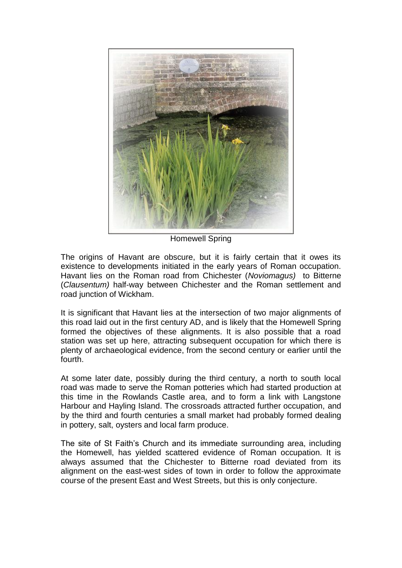

Homewell Spring

The origins of Havant are obscure, but it is fairly certain that it owes its existence to developments initiated in the early years of Roman occupation. Havant lies on the Roman road from Chichester (*Noviomagus)* to Bitterne (*Clausentum)* half-way between Chichester and the Roman settlement and road junction of Wickham.

It is significant that Havant lies at the intersection of two major alignments of this road laid out in the first century AD, and is likely that the Homewell Spring formed the objectives of these alignments. It is also possible that a road station was set up here, attracting subsequent occupation for which there is plenty of archaeological evidence, from the second century or earlier until the fourth.

At some later date, possibly during the third century, a north to south local road was made to serve the Roman potteries which had started production at this time in the Rowlands Castle area, and to form a link with Langstone Harbour and Hayling Island. The crossroads attracted further occupation, and by the third and fourth centuries a small market had probably formed dealing in pottery, salt, oysters and local farm produce.

The site of St Faith's Church and its immediate surrounding area, including the Homewell, has yielded scattered evidence of Roman occupation. It is always assumed that the Chichester to Bitterne road deviated from its alignment on the east-west sides of town in order to follow the approximate course of the present East and West Streets, but this is only conjecture.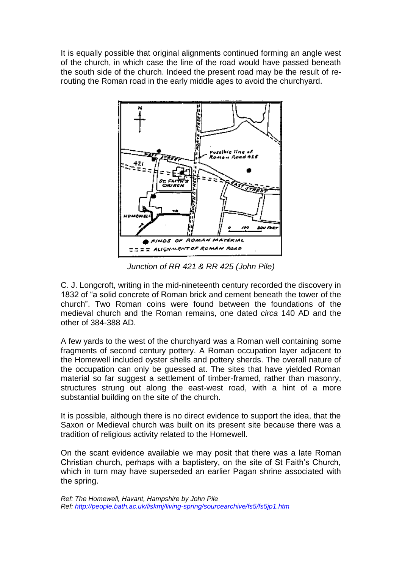It is equally possible that original alignments continued forming an angle west of the church, in which case the line of the road would have passed beneath the south side of the church. Indeed the present road may be the result of rerouting the Roman road in the early middle ages to avoid the churchyard.



*Junction of RR 421 & RR 425 (John Pile)*

C. J. Longcroft, writing in the mid-nineteenth century recorded the discovery in 1832 of "a solid concrete of Roman brick and cement beneath the tower of the church". Two Roman coins were found between the foundations of the medieval church and the Roman remains, one dated *circa* 140 AD and the other of 384-388 AD.

A few yards to the west of the churchyard was a Roman well containing some fragments of second century pottery. A Roman occupation layer adjacent to the Homewell included oyster shells and pottery sherds. The overall nature of the occupation can only be guessed at. The sites that have yielded Roman material so far suggest a settlement of timber-framed, rather than masonry, structures strung out along the east-west road, with a hint of a more substantial building on the site of the church.

It is possible, although there is no direct evidence to support the idea, that the Saxon or Medieval church was built on its present site because there was a tradition of religious activity related to the Homewell.

On the scant evidence available we may posit that there was a late Roman Christian church, perhaps with a baptistery, on the site of St Faith's Church, which in turn may have superseded an earlier Pagan shrine associated with the spring.